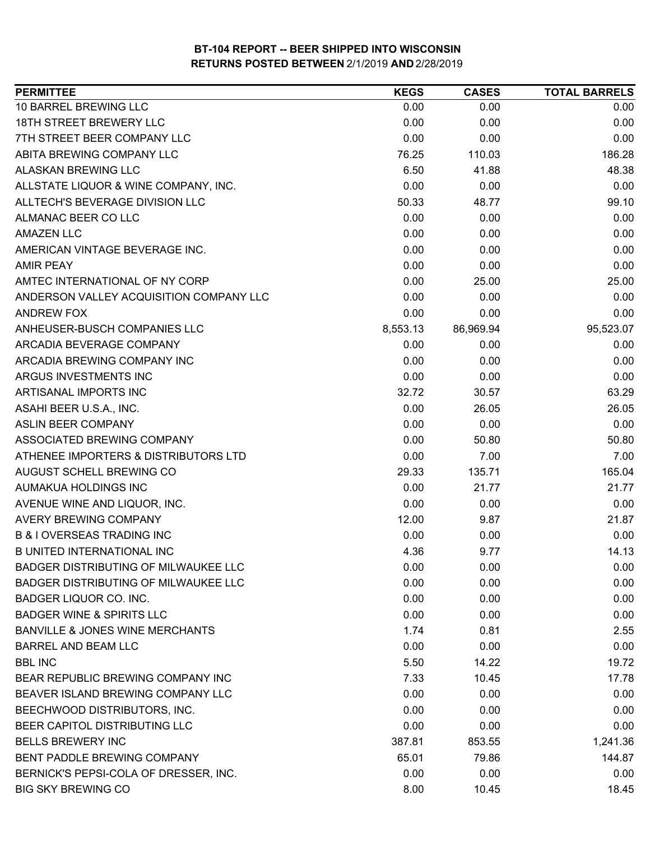| <b>PERMITTEE</b>                           | <b>KEGS</b> | <b>CASES</b> | <b>TOTAL BARRELS</b> |
|--------------------------------------------|-------------|--------------|----------------------|
| 10 BARREL BREWING LLC                      | 0.00        | 0.00         | 0.00                 |
| <b>18TH STREET BREWERY LLC</b>             | 0.00        | 0.00         | 0.00                 |
| 7TH STREET BEER COMPANY LLC                | 0.00        | 0.00         | 0.00                 |
| ABITA BREWING COMPANY LLC                  | 76.25       | 110.03       | 186.28               |
| <b>ALASKAN BREWING LLC</b>                 | 6.50        | 41.88        | 48.38                |
| ALLSTATE LIQUOR & WINE COMPANY, INC.       | 0.00        | 0.00         | 0.00                 |
| ALLTECH'S BEVERAGE DIVISION LLC            | 50.33       | 48.77        | 99.10                |
| ALMANAC BEER CO LLC                        | 0.00        | 0.00         | 0.00                 |
| <b>AMAZEN LLC</b>                          | 0.00        | 0.00         | 0.00                 |
| AMERICAN VINTAGE BEVERAGE INC.             | 0.00        | 0.00         | 0.00                 |
| <b>AMIR PEAY</b>                           | 0.00        | 0.00         | 0.00                 |
| AMTEC INTERNATIONAL OF NY CORP             | 0.00        | 25.00        | 25.00                |
| ANDERSON VALLEY ACQUISITION COMPANY LLC    | 0.00        | 0.00         | 0.00                 |
| <b>ANDREW FOX</b>                          | 0.00        | 0.00         | 0.00                 |
| ANHEUSER-BUSCH COMPANIES LLC               | 8,553.13    | 86,969.94    | 95,523.07            |
| ARCADIA BEVERAGE COMPANY                   | 0.00        | 0.00         | 0.00                 |
| ARCADIA BREWING COMPANY INC                | 0.00        | 0.00         | 0.00                 |
| ARGUS INVESTMENTS INC                      | 0.00        | 0.00         | 0.00                 |
| ARTISANAL IMPORTS INC                      | 32.72       | 30.57        | 63.29                |
| ASAHI BEER U.S.A., INC.                    | 0.00        | 26.05        | 26.05                |
| <b>ASLIN BEER COMPANY</b>                  | 0.00        | 0.00         | 0.00                 |
| ASSOCIATED BREWING COMPANY                 | 0.00        | 50.80        | 50.80                |
| ATHENEE IMPORTERS & DISTRIBUTORS LTD       | 0.00        | 7.00         | 7.00                 |
| AUGUST SCHELL BREWING CO                   | 29.33       | 135.71       | 165.04               |
| AUMAKUA HOLDINGS INC                       | 0.00        | 21.77        | 21.77                |
| AVENUE WINE AND LIQUOR, INC.               | 0.00        | 0.00         | 0.00                 |
| <b>AVERY BREWING COMPANY</b>               | 12.00       | 9.87         | 21.87                |
| <b>B &amp; I OVERSEAS TRADING INC</b>      | 0.00        | 0.00         | 0.00                 |
| <b>B UNITED INTERNATIONAL INC</b>          | 4.36        | 9.77         | 14.13                |
| BADGER DISTRIBUTING OF MILWAUKEE LLC       | 0.00        | 0.00         | 0.00                 |
| BADGER DISTRIBUTING OF MILWAUKEE LLC       | 0.00        | 0.00         | 0.00                 |
| BADGER LIQUOR CO. INC.                     | 0.00        | 0.00         | 0.00                 |
| <b>BADGER WINE &amp; SPIRITS LLC</b>       | 0.00        | 0.00         | 0.00                 |
| <b>BANVILLE &amp; JONES WINE MERCHANTS</b> | 1.74        | 0.81         | 2.55                 |
| <b>BARREL AND BEAM LLC</b>                 | 0.00        | 0.00         | 0.00                 |
| <b>BBL INC</b>                             | 5.50        | 14.22        | 19.72                |
| BEAR REPUBLIC BREWING COMPANY INC          | 7.33        | 10.45        | 17.78                |
| BEAVER ISLAND BREWING COMPANY LLC          | 0.00        | 0.00         | 0.00                 |
| BEECHWOOD DISTRIBUTORS, INC.               | 0.00        | 0.00         | 0.00                 |
| BEER CAPITOL DISTRIBUTING LLC              | 0.00        | 0.00         | 0.00                 |
| <b>BELLS BREWERY INC</b>                   | 387.81      | 853.55       | 1,241.36             |
| BENT PADDLE BREWING COMPANY                | 65.01       | 79.86        | 144.87               |
| BERNICK'S PEPSI-COLA OF DRESSER, INC.      | 0.00        | 0.00         | 0.00                 |
| <b>BIG SKY BREWING CO</b>                  | 8.00        | 10.45        | 18.45                |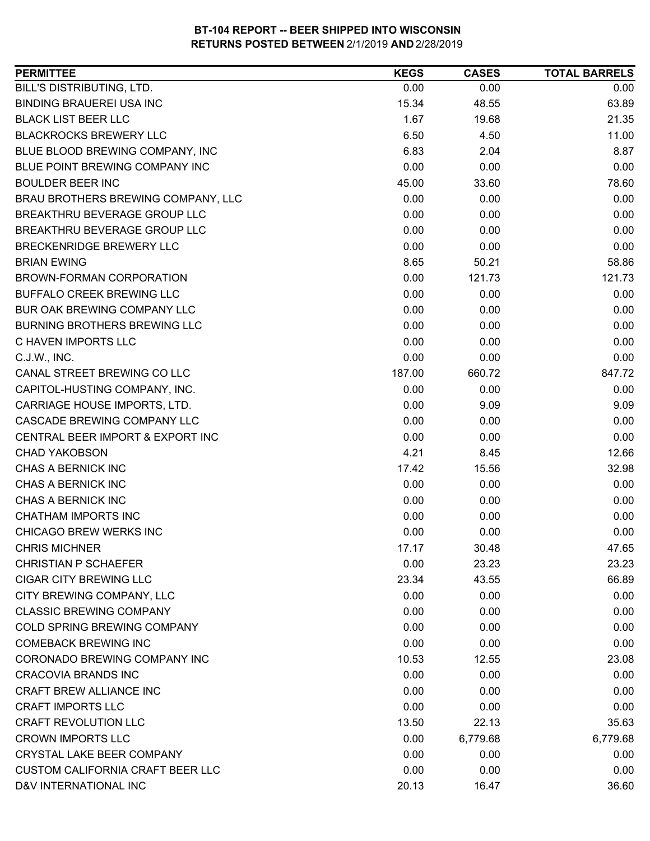| BILL'S DISTRIBUTING, LTD.<br>0.00<br>0.00<br>0.00<br><b>BINDING BRAUEREI USA INC</b><br>63.89<br>15.34<br>48.55<br><b>BLACK LIST BEER LLC</b><br>1.67<br>19.68<br>21.35<br><b>BLACKROCKS BREWERY LLC</b><br>6.50<br>4.50<br>11.00<br>6.83<br>BLUE BLOOD BREWING COMPANY, INC<br>2.04<br>8.87<br>BLUE POINT BREWING COMPANY INC<br>0.00<br>0.00<br>0.00<br><b>BOULDER BEER INC</b><br>45.00<br>33.60<br>78.60<br>BRAU BROTHERS BREWING COMPANY, LLC<br>0.00<br>0.00<br>0.00<br>0.00<br>BREAKTHRU BEVERAGE GROUP LLC<br>0.00<br>0.00<br>BREAKTHRU BEVERAGE GROUP LLC<br>0.00<br>0.00<br>0.00<br>BRECKENRIDGE BREWERY LLC<br>0.00<br>0.00<br>0.00<br><b>BRIAN EWING</b><br>8.65<br>50.21<br>58.86<br>0.00<br>121.73<br>121.73<br>BROWN-FORMAN CORPORATION<br><b>BUFFALO CREEK BREWING LLC</b><br>0.00<br>0.00<br>0.00<br>BUR OAK BREWING COMPANY LLC<br>0.00<br>0.00<br>0.00<br><b>BURNING BROTHERS BREWING LLC</b><br>0.00<br>0.00<br>0.00<br>0.00<br>C HAVEN IMPORTS LLC<br>0.00<br>0.00<br>0.00<br>C.J.W., INC.<br>0.00<br>0.00<br>CANAL STREET BREWING CO LLC<br>187.00<br>660.72<br>847.72<br>0.00<br>0.00<br>CAPITOL-HUSTING COMPANY, INC.<br>0.00<br>CARRIAGE HOUSE IMPORTS, LTD.<br>0.00<br>9.09<br>9.09<br>CASCADE BREWING COMPANY LLC<br>0.00<br>0.00<br>0.00<br>CENTRAL BEER IMPORT & EXPORT INC<br>0.00<br>0.00<br>0.00<br><b>CHAD YAKOBSON</b><br>4.21<br>12.66<br>8.45<br>CHAS A BERNICK INC<br>17.42<br>15.56<br>32.98<br>CHAS A BERNICK INC<br>0.00<br>0.00<br>0.00<br>CHAS A BERNICK INC<br>0.00<br>0.00<br>0.00<br>CHATHAM IMPORTS INC<br>0.00<br>0.00<br>0.00<br>CHICAGO BREW WERKS INC<br>0.00<br>0.00<br>0.00<br><b>CHRIS MICHNER</b><br>17.17<br>30.48<br>47.65<br>0.00<br><b>CHRISTIAN P SCHAEFER</b><br>23.23<br>23.23<br><b>CIGAR CITY BREWING LLC</b><br>23.34<br>43.55<br>66.89<br>CITY BREWING COMPANY, LLC<br>0.00<br>0.00<br>0.00<br><b>CLASSIC BREWING COMPANY</b><br>0.00<br>0.00<br>0.00<br>0.00<br>COLD SPRING BREWING COMPANY<br>0.00<br>0.00<br><b>COMEBACK BREWING INC</b><br>0.00<br>0.00<br>0.00<br>CORONADO BREWING COMPANY INC<br>10.53<br>23.08<br>12.55<br><b>CRACOVIA BRANDS INC</b><br>0.00<br>0.00<br>0.00<br>CRAFT BREW ALLIANCE INC<br>0.00<br>0.00<br>0.00<br><b>CRAFT IMPORTS LLC</b><br>0.00<br>0.00<br>0.00<br><b>CRAFT REVOLUTION LLC</b><br>13.50<br>22.13<br>35.63<br><b>CROWN IMPORTS LLC</b><br>0.00<br>6,779.68<br>6,779.68<br>CRYSTAL LAKE BEER COMPANY<br>0.00<br>0.00<br>0.00<br><b>CUSTOM CALIFORNIA CRAFT BEER LLC</b><br>0.00<br>0.00<br>0.00 | <b>PERMITTEE</b>      | <b>KEGS</b> | <b>CASES</b> | <b>TOTAL BARRELS</b> |
|------------------------------------------------------------------------------------------------------------------------------------------------------------------------------------------------------------------------------------------------------------------------------------------------------------------------------------------------------------------------------------------------------------------------------------------------------------------------------------------------------------------------------------------------------------------------------------------------------------------------------------------------------------------------------------------------------------------------------------------------------------------------------------------------------------------------------------------------------------------------------------------------------------------------------------------------------------------------------------------------------------------------------------------------------------------------------------------------------------------------------------------------------------------------------------------------------------------------------------------------------------------------------------------------------------------------------------------------------------------------------------------------------------------------------------------------------------------------------------------------------------------------------------------------------------------------------------------------------------------------------------------------------------------------------------------------------------------------------------------------------------------------------------------------------------------------------------------------------------------------------------------------------------------------------------------------------------------------------------------------------------------------------------------------------------------------------------------------------------------------------------------------------------------------------------------------------------------------------------------------------------------------------------------------------------------------------------------------------------------------------------------------------------------------------------------------------------------------------------------------------------|-----------------------|-------------|--------------|----------------------|
|                                                                                                                                                                                                                                                                                                                                                                                                                                                                                                                                                                                                                                                                                                                                                                                                                                                                                                                                                                                                                                                                                                                                                                                                                                                                                                                                                                                                                                                                                                                                                                                                                                                                                                                                                                                                                                                                                                                                                                                                                                                                                                                                                                                                                                                                                                                                                                                                                                                                                                            |                       |             |              |                      |
|                                                                                                                                                                                                                                                                                                                                                                                                                                                                                                                                                                                                                                                                                                                                                                                                                                                                                                                                                                                                                                                                                                                                                                                                                                                                                                                                                                                                                                                                                                                                                                                                                                                                                                                                                                                                                                                                                                                                                                                                                                                                                                                                                                                                                                                                                                                                                                                                                                                                                                            |                       |             |              |                      |
|                                                                                                                                                                                                                                                                                                                                                                                                                                                                                                                                                                                                                                                                                                                                                                                                                                                                                                                                                                                                                                                                                                                                                                                                                                                                                                                                                                                                                                                                                                                                                                                                                                                                                                                                                                                                                                                                                                                                                                                                                                                                                                                                                                                                                                                                                                                                                                                                                                                                                                            |                       |             |              |                      |
|                                                                                                                                                                                                                                                                                                                                                                                                                                                                                                                                                                                                                                                                                                                                                                                                                                                                                                                                                                                                                                                                                                                                                                                                                                                                                                                                                                                                                                                                                                                                                                                                                                                                                                                                                                                                                                                                                                                                                                                                                                                                                                                                                                                                                                                                                                                                                                                                                                                                                                            |                       |             |              |                      |
|                                                                                                                                                                                                                                                                                                                                                                                                                                                                                                                                                                                                                                                                                                                                                                                                                                                                                                                                                                                                                                                                                                                                                                                                                                                                                                                                                                                                                                                                                                                                                                                                                                                                                                                                                                                                                                                                                                                                                                                                                                                                                                                                                                                                                                                                                                                                                                                                                                                                                                            |                       |             |              |                      |
|                                                                                                                                                                                                                                                                                                                                                                                                                                                                                                                                                                                                                                                                                                                                                                                                                                                                                                                                                                                                                                                                                                                                                                                                                                                                                                                                                                                                                                                                                                                                                                                                                                                                                                                                                                                                                                                                                                                                                                                                                                                                                                                                                                                                                                                                                                                                                                                                                                                                                                            |                       |             |              |                      |
|                                                                                                                                                                                                                                                                                                                                                                                                                                                                                                                                                                                                                                                                                                                                                                                                                                                                                                                                                                                                                                                                                                                                                                                                                                                                                                                                                                                                                                                                                                                                                                                                                                                                                                                                                                                                                                                                                                                                                                                                                                                                                                                                                                                                                                                                                                                                                                                                                                                                                                            |                       |             |              |                      |
|                                                                                                                                                                                                                                                                                                                                                                                                                                                                                                                                                                                                                                                                                                                                                                                                                                                                                                                                                                                                                                                                                                                                                                                                                                                                                                                                                                                                                                                                                                                                                                                                                                                                                                                                                                                                                                                                                                                                                                                                                                                                                                                                                                                                                                                                                                                                                                                                                                                                                                            |                       |             |              |                      |
|                                                                                                                                                                                                                                                                                                                                                                                                                                                                                                                                                                                                                                                                                                                                                                                                                                                                                                                                                                                                                                                                                                                                                                                                                                                                                                                                                                                                                                                                                                                                                                                                                                                                                                                                                                                                                                                                                                                                                                                                                                                                                                                                                                                                                                                                                                                                                                                                                                                                                                            |                       |             |              |                      |
|                                                                                                                                                                                                                                                                                                                                                                                                                                                                                                                                                                                                                                                                                                                                                                                                                                                                                                                                                                                                                                                                                                                                                                                                                                                                                                                                                                                                                                                                                                                                                                                                                                                                                                                                                                                                                                                                                                                                                                                                                                                                                                                                                                                                                                                                                                                                                                                                                                                                                                            |                       |             |              |                      |
|                                                                                                                                                                                                                                                                                                                                                                                                                                                                                                                                                                                                                                                                                                                                                                                                                                                                                                                                                                                                                                                                                                                                                                                                                                                                                                                                                                                                                                                                                                                                                                                                                                                                                                                                                                                                                                                                                                                                                                                                                                                                                                                                                                                                                                                                                                                                                                                                                                                                                                            |                       |             |              |                      |
|                                                                                                                                                                                                                                                                                                                                                                                                                                                                                                                                                                                                                                                                                                                                                                                                                                                                                                                                                                                                                                                                                                                                                                                                                                                                                                                                                                                                                                                                                                                                                                                                                                                                                                                                                                                                                                                                                                                                                                                                                                                                                                                                                                                                                                                                                                                                                                                                                                                                                                            |                       |             |              |                      |
|                                                                                                                                                                                                                                                                                                                                                                                                                                                                                                                                                                                                                                                                                                                                                                                                                                                                                                                                                                                                                                                                                                                                                                                                                                                                                                                                                                                                                                                                                                                                                                                                                                                                                                                                                                                                                                                                                                                                                                                                                                                                                                                                                                                                                                                                                                                                                                                                                                                                                                            |                       |             |              |                      |
|                                                                                                                                                                                                                                                                                                                                                                                                                                                                                                                                                                                                                                                                                                                                                                                                                                                                                                                                                                                                                                                                                                                                                                                                                                                                                                                                                                                                                                                                                                                                                                                                                                                                                                                                                                                                                                                                                                                                                                                                                                                                                                                                                                                                                                                                                                                                                                                                                                                                                                            |                       |             |              |                      |
|                                                                                                                                                                                                                                                                                                                                                                                                                                                                                                                                                                                                                                                                                                                                                                                                                                                                                                                                                                                                                                                                                                                                                                                                                                                                                                                                                                                                                                                                                                                                                                                                                                                                                                                                                                                                                                                                                                                                                                                                                                                                                                                                                                                                                                                                                                                                                                                                                                                                                                            |                       |             |              |                      |
|                                                                                                                                                                                                                                                                                                                                                                                                                                                                                                                                                                                                                                                                                                                                                                                                                                                                                                                                                                                                                                                                                                                                                                                                                                                                                                                                                                                                                                                                                                                                                                                                                                                                                                                                                                                                                                                                                                                                                                                                                                                                                                                                                                                                                                                                                                                                                                                                                                                                                                            |                       |             |              |                      |
|                                                                                                                                                                                                                                                                                                                                                                                                                                                                                                                                                                                                                                                                                                                                                                                                                                                                                                                                                                                                                                                                                                                                                                                                                                                                                                                                                                                                                                                                                                                                                                                                                                                                                                                                                                                                                                                                                                                                                                                                                                                                                                                                                                                                                                                                                                                                                                                                                                                                                                            |                       |             |              |                      |
|                                                                                                                                                                                                                                                                                                                                                                                                                                                                                                                                                                                                                                                                                                                                                                                                                                                                                                                                                                                                                                                                                                                                                                                                                                                                                                                                                                                                                                                                                                                                                                                                                                                                                                                                                                                                                                                                                                                                                                                                                                                                                                                                                                                                                                                                                                                                                                                                                                                                                                            |                       |             |              |                      |
|                                                                                                                                                                                                                                                                                                                                                                                                                                                                                                                                                                                                                                                                                                                                                                                                                                                                                                                                                                                                                                                                                                                                                                                                                                                                                                                                                                                                                                                                                                                                                                                                                                                                                                                                                                                                                                                                                                                                                                                                                                                                                                                                                                                                                                                                                                                                                                                                                                                                                                            |                       |             |              |                      |
|                                                                                                                                                                                                                                                                                                                                                                                                                                                                                                                                                                                                                                                                                                                                                                                                                                                                                                                                                                                                                                                                                                                                                                                                                                                                                                                                                                                                                                                                                                                                                                                                                                                                                                                                                                                                                                                                                                                                                                                                                                                                                                                                                                                                                                                                                                                                                                                                                                                                                                            |                       |             |              |                      |
|                                                                                                                                                                                                                                                                                                                                                                                                                                                                                                                                                                                                                                                                                                                                                                                                                                                                                                                                                                                                                                                                                                                                                                                                                                                                                                                                                                                                                                                                                                                                                                                                                                                                                                                                                                                                                                                                                                                                                                                                                                                                                                                                                                                                                                                                                                                                                                                                                                                                                                            |                       |             |              |                      |
|                                                                                                                                                                                                                                                                                                                                                                                                                                                                                                                                                                                                                                                                                                                                                                                                                                                                                                                                                                                                                                                                                                                                                                                                                                                                                                                                                                                                                                                                                                                                                                                                                                                                                                                                                                                                                                                                                                                                                                                                                                                                                                                                                                                                                                                                                                                                                                                                                                                                                                            |                       |             |              |                      |
|                                                                                                                                                                                                                                                                                                                                                                                                                                                                                                                                                                                                                                                                                                                                                                                                                                                                                                                                                                                                                                                                                                                                                                                                                                                                                                                                                                                                                                                                                                                                                                                                                                                                                                                                                                                                                                                                                                                                                                                                                                                                                                                                                                                                                                                                                                                                                                                                                                                                                                            |                       |             |              |                      |
|                                                                                                                                                                                                                                                                                                                                                                                                                                                                                                                                                                                                                                                                                                                                                                                                                                                                                                                                                                                                                                                                                                                                                                                                                                                                                                                                                                                                                                                                                                                                                                                                                                                                                                                                                                                                                                                                                                                                                                                                                                                                                                                                                                                                                                                                                                                                                                                                                                                                                                            |                       |             |              |                      |
|                                                                                                                                                                                                                                                                                                                                                                                                                                                                                                                                                                                                                                                                                                                                                                                                                                                                                                                                                                                                                                                                                                                                                                                                                                                                                                                                                                                                                                                                                                                                                                                                                                                                                                                                                                                                                                                                                                                                                                                                                                                                                                                                                                                                                                                                                                                                                                                                                                                                                                            |                       |             |              |                      |
|                                                                                                                                                                                                                                                                                                                                                                                                                                                                                                                                                                                                                                                                                                                                                                                                                                                                                                                                                                                                                                                                                                                                                                                                                                                                                                                                                                                                                                                                                                                                                                                                                                                                                                                                                                                                                                                                                                                                                                                                                                                                                                                                                                                                                                                                                                                                                                                                                                                                                                            |                       |             |              |                      |
|                                                                                                                                                                                                                                                                                                                                                                                                                                                                                                                                                                                                                                                                                                                                                                                                                                                                                                                                                                                                                                                                                                                                                                                                                                                                                                                                                                                                                                                                                                                                                                                                                                                                                                                                                                                                                                                                                                                                                                                                                                                                                                                                                                                                                                                                                                                                                                                                                                                                                                            |                       |             |              |                      |
|                                                                                                                                                                                                                                                                                                                                                                                                                                                                                                                                                                                                                                                                                                                                                                                                                                                                                                                                                                                                                                                                                                                                                                                                                                                                                                                                                                                                                                                                                                                                                                                                                                                                                                                                                                                                                                                                                                                                                                                                                                                                                                                                                                                                                                                                                                                                                                                                                                                                                                            |                       |             |              |                      |
|                                                                                                                                                                                                                                                                                                                                                                                                                                                                                                                                                                                                                                                                                                                                                                                                                                                                                                                                                                                                                                                                                                                                                                                                                                                                                                                                                                                                                                                                                                                                                                                                                                                                                                                                                                                                                                                                                                                                                                                                                                                                                                                                                                                                                                                                                                                                                                                                                                                                                                            |                       |             |              |                      |
|                                                                                                                                                                                                                                                                                                                                                                                                                                                                                                                                                                                                                                                                                                                                                                                                                                                                                                                                                                                                                                                                                                                                                                                                                                                                                                                                                                                                                                                                                                                                                                                                                                                                                                                                                                                                                                                                                                                                                                                                                                                                                                                                                                                                                                                                                                                                                                                                                                                                                                            |                       |             |              |                      |
|                                                                                                                                                                                                                                                                                                                                                                                                                                                                                                                                                                                                                                                                                                                                                                                                                                                                                                                                                                                                                                                                                                                                                                                                                                                                                                                                                                                                                                                                                                                                                                                                                                                                                                                                                                                                                                                                                                                                                                                                                                                                                                                                                                                                                                                                                                                                                                                                                                                                                                            |                       |             |              |                      |
|                                                                                                                                                                                                                                                                                                                                                                                                                                                                                                                                                                                                                                                                                                                                                                                                                                                                                                                                                                                                                                                                                                                                                                                                                                                                                                                                                                                                                                                                                                                                                                                                                                                                                                                                                                                                                                                                                                                                                                                                                                                                                                                                                                                                                                                                                                                                                                                                                                                                                                            |                       |             |              |                      |
|                                                                                                                                                                                                                                                                                                                                                                                                                                                                                                                                                                                                                                                                                                                                                                                                                                                                                                                                                                                                                                                                                                                                                                                                                                                                                                                                                                                                                                                                                                                                                                                                                                                                                                                                                                                                                                                                                                                                                                                                                                                                                                                                                                                                                                                                                                                                                                                                                                                                                                            |                       |             |              |                      |
|                                                                                                                                                                                                                                                                                                                                                                                                                                                                                                                                                                                                                                                                                                                                                                                                                                                                                                                                                                                                                                                                                                                                                                                                                                                                                                                                                                                                                                                                                                                                                                                                                                                                                                                                                                                                                                                                                                                                                                                                                                                                                                                                                                                                                                                                                                                                                                                                                                                                                                            |                       |             |              |                      |
|                                                                                                                                                                                                                                                                                                                                                                                                                                                                                                                                                                                                                                                                                                                                                                                                                                                                                                                                                                                                                                                                                                                                                                                                                                                                                                                                                                                                                                                                                                                                                                                                                                                                                                                                                                                                                                                                                                                                                                                                                                                                                                                                                                                                                                                                                                                                                                                                                                                                                                            |                       |             |              |                      |
|                                                                                                                                                                                                                                                                                                                                                                                                                                                                                                                                                                                                                                                                                                                                                                                                                                                                                                                                                                                                                                                                                                                                                                                                                                                                                                                                                                                                                                                                                                                                                                                                                                                                                                                                                                                                                                                                                                                                                                                                                                                                                                                                                                                                                                                                                                                                                                                                                                                                                                            |                       |             |              |                      |
|                                                                                                                                                                                                                                                                                                                                                                                                                                                                                                                                                                                                                                                                                                                                                                                                                                                                                                                                                                                                                                                                                                                                                                                                                                                                                                                                                                                                                                                                                                                                                                                                                                                                                                                                                                                                                                                                                                                                                                                                                                                                                                                                                                                                                                                                                                                                                                                                                                                                                                            |                       |             |              |                      |
|                                                                                                                                                                                                                                                                                                                                                                                                                                                                                                                                                                                                                                                                                                                                                                                                                                                                                                                                                                                                                                                                                                                                                                                                                                                                                                                                                                                                                                                                                                                                                                                                                                                                                                                                                                                                                                                                                                                                                                                                                                                                                                                                                                                                                                                                                                                                                                                                                                                                                                            |                       |             |              |                      |
|                                                                                                                                                                                                                                                                                                                                                                                                                                                                                                                                                                                                                                                                                                                                                                                                                                                                                                                                                                                                                                                                                                                                                                                                                                                                                                                                                                                                                                                                                                                                                                                                                                                                                                                                                                                                                                                                                                                                                                                                                                                                                                                                                                                                                                                                                                                                                                                                                                                                                                            |                       |             |              |                      |
|                                                                                                                                                                                                                                                                                                                                                                                                                                                                                                                                                                                                                                                                                                                                                                                                                                                                                                                                                                                                                                                                                                                                                                                                                                                                                                                                                                                                                                                                                                                                                                                                                                                                                                                                                                                                                                                                                                                                                                                                                                                                                                                                                                                                                                                                                                                                                                                                                                                                                                            |                       |             |              |                      |
|                                                                                                                                                                                                                                                                                                                                                                                                                                                                                                                                                                                                                                                                                                                                                                                                                                                                                                                                                                                                                                                                                                                                                                                                                                                                                                                                                                                                                                                                                                                                                                                                                                                                                                                                                                                                                                                                                                                                                                                                                                                                                                                                                                                                                                                                                                                                                                                                                                                                                                            |                       |             |              |                      |
|                                                                                                                                                                                                                                                                                                                                                                                                                                                                                                                                                                                                                                                                                                                                                                                                                                                                                                                                                                                                                                                                                                                                                                                                                                                                                                                                                                                                                                                                                                                                                                                                                                                                                                                                                                                                                                                                                                                                                                                                                                                                                                                                                                                                                                                                                                                                                                                                                                                                                                            |                       |             |              |                      |
|                                                                                                                                                                                                                                                                                                                                                                                                                                                                                                                                                                                                                                                                                                                                                                                                                                                                                                                                                                                                                                                                                                                                                                                                                                                                                                                                                                                                                                                                                                                                                                                                                                                                                                                                                                                                                                                                                                                                                                                                                                                                                                                                                                                                                                                                                                                                                                                                                                                                                                            |                       |             |              |                      |
|                                                                                                                                                                                                                                                                                                                                                                                                                                                                                                                                                                                                                                                                                                                                                                                                                                                                                                                                                                                                                                                                                                                                                                                                                                                                                                                                                                                                                                                                                                                                                                                                                                                                                                                                                                                                                                                                                                                                                                                                                                                                                                                                                                                                                                                                                                                                                                                                                                                                                                            |                       |             |              |                      |
|                                                                                                                                                                                                                                                                                                                                                                                                                                                                                                                                                                                                                                                                                                                                                                                                                                                                                                                                                                                                                                                                                                                                                                                                                                                                                                                                                                                                                                                                                                                                                                                                                                                                                                                                                                                                                                                                                                                                                                                                                                                                                                                                                                                                                                                                                                                                                                                                                                                                                                            | D&V INTERNATIONAL INC | 20.13       | 16.47        | 36.60                |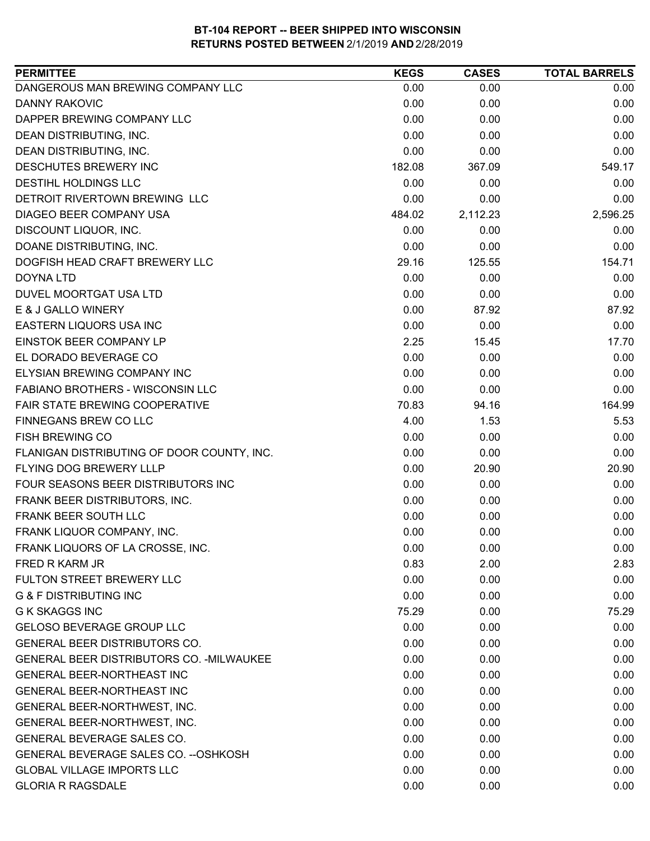| DANGEROUS MAN BREWING COMPANY LLC<br>0.00<br>0.00<br>0.00<br><b>DANNY RAKOVIC</b><br>0.00<br>0.00<br>0.00<br>0.00<br>DAPPER BREWING COMPANY LLC<br>0.00<br>0.00<br>0.00<br>0.00<br>DEAN DISTRIBUTING, INC.<br>0.00<br>0.00<br>0.00<br>DEAN DISTRIBUTING, INC.<br>0.00<br>DESCHUTES BREWERY INC<br>182.08<br>367.09<br>549.17<br>DESTIHL HOLDINGS LLC<br>0.00<br>0.00<br>0.00<br>0.00<br>0.00<br>0.00<br>DIAGEO BEER COMPANY USA<br>484.02<br>2,112.23<br>2,596.25<br>DISCOUNT LIQUOR, INC.<br>0.00<br>0.00<br>0.00<br>DOANE DISTRIBUTING, INC.<br>0.00<br>0.00<br>0.00<br>DOGFISH HEAD CRAFT BREWERY LLC<br>29.16<br>154.71<br>125.55<br>0.00<br>0.00<br>DOYNA LTD<br>0.00<br>0.00<br>0.00<br>DUVEL MOORTGAT USA LTD<br>0.00<br>E & J GALLO WINERY<br>0.00<br>87.92<br>87.92<br>EASTERN LIQUORS USA INC<br>0.00<br>0.00<br>0.00<br>EINSTOK BEER COMPANY LP<br>2.25<br>17.70<br>15.45<br>EL DORADO BEVERAGE CO<br>0.00<br>0.00<br>0.00<br>ELYSIAN BREWING COMPANY INC<br>0.00<br>0.00<br>0.00<br><b>FABIANO BROTHERS - WISCONSIN LLC</b><br>0.00<br>0.00<br>0.00<br>FAIR STATE BREWING COOPERATIVE<br>70.83<br>164.99<br>94.16<br>FINNEGANS BREW CO LLC<br>4.00<br>1.53<br>5.53<br>0.00<br>0.00<br>0.00<br>0.00<br>0.00<br>0.00<br>FLANIGAN DISTRIBUTING OF DOOR COUNTY, INC.<br>0.00<br>20.90<br>20.90<br>FOUR SEASONS BEER DISTRIBUTORS INC<br>0.00<br>0.00<br>0.00<br>FRANK BEER DISTRIBUTORS, INC.<br>0.00<br>0.00<br>0.00<br>FRANK BEER SOUTH LLC<br>0.00<br>0.00<br>0.00<br>0.00<br>FRANK LIQUOR COMPANY, INC.<br>0.00<br>0.00<br>FRANK LIQUORS OF LA CROSSE, INC.<br>0.00<br>0.00<br>0.00<br>0.83<br>2.00<br>2.83<br>0.00<br>0.00<br>0.00<br><b>G &amp; F DISTRIBUTING INC</b><br>0.00<br>0.00<br>0.00<br><b>G K SKAGGS INC</b><br>75.29<br>75.29<br>0.00<br>GELOSO BEVERAGE GROUP LLC<br>0.00<br>0.00<br>0.00<br><b>GENERAL BEER DISTRIBUTORS CO.</b><br>0.00<br>0.00<br>0.00<br>GENERAL BEER DISTRIBUTORS CO. - MILWAUKEE<br>0.00<br>0.00<br>0.00<br><b>GENERAL BEER-NORTHEAST INC</b><br>0.00<br>0.00<br>0.00<br><b>GENERAL BEER-NORTHEAST INC</b><br>0.00<br>0.00<br>0.00<br>GENERAL BEER-NORTHWEST, INC.<br>0.00<br>0.00<br>0.00<br>GENERAL BEER-NORTHWEST, INC.<br>0.00<br>0.00<br>0.00<br><b>GENERAL BEVERAGE SALES CO.</b><br>0.00<br>0.00<br>0.00<br>GENERAL BEVERAGE SALES CO. -- OSHKOSH<br>0.00<br>0.00<br>0.00<br><b>GLOBAL VILLAGE IMPORTS LLC</b><br>0.00<br>0.00<br>0.00<br><b>GLORIA R RAGSDALE</b><br>0.00<br>0.00<br>0.00 | <b>PERMITTEE</b>              | <b>KEGS</b> | <b>CASES</b> | <b>TOTAL BARRELS</b> |
|----------------------------------------------------------------------------------------------------------------------------------------------------------------------------------------------------------------------------------------------------------------------------------------------------------------------------------------------------------------------------------------------------------------------------------------------------------------------------------------------------------------------------------------------------------------------------------------------------------------------------------------------------------------------------------------------------------------------------------------------------------------------------------------------------------------------------------------------------------------------------------------------------------------------------------------------------------------------------------------------------------------------------------------------------------------------------------------------------------------------------------------------------------------------------------------------------------------------------------------------------------------------------------------------------------------------------------------------------------------------------------------------------------------------------------------------------------------------------------------------------------------------------------------------------------------------------------------------------------------------------------------------------------------------------------------------------------------------------------------------------------------------------------------------------------------------------------------------------------------------------------------------------------------------------------------------------------------------------------------------------------------------------------------------------------------------------------------------------------------------------------------------------------------------------------------------------------------------------------------------------------------------------------------------------------------------------------------------------------------------------------------------------------------------------------------------------|-------------------------------|-------------|--------------|----------------------|
|                                                                                                                                                                                                                                                                                                                                                                                                                                                                                                                                                                                                                                                                                                                                                                                                                                                                                                                                                                                                                                                                                                                                                                                                                                                                                                                                                                                                                                                                                                                                                                                                                                                                                                                                                                                                                                                                                                                                                                                                                                                                                                                                                                                                                                                                                                                                                                                                                                                    |                               |             |              |                      |
|                                                                                                                                                                                                                                                                                                                                                                                                                                                                                                                                                                                                                                                                                                                                                                                                                                                                                                                                                                                                                                                                                                                                                                                                                                                                                                                                                                                                                                                                                                                                                                                                                                                                                                                                                                                                                                                                                                                                                                                                                                                                                                                                                                                                                                                                                                                                                                                                                                                    |                               |             |              |                      |
|                                                                                                                                                                                                                                                                                                                                                                                                                                                                                                                                                                                                                                                                                                                                                                                                                                                                                                                                                                                                                                                                                                                                                                                                                                                                                                                                                                                                                                                                                                                                                                                                                                                                                                                                                                                                                                                                                                                                                                                                                                                                                                                                                                                                                                                                                                                                                                                                                                                    |                               |             |              |                      |
|                                                                                                                                                                                                                                                                                                                                                                                                                                                                                                                                                                                                                                                                                                                                                                                                                                                                                                                                                                                                                                                                                                                                                                                                                                                                                                                                                                                                                                                                                                                                                                                                                                                                                                                                                                                                                                                                                                                                                                                                                                                                                                                                                                                                                                                                                                                                                                                                                                                    |                               |             |              |                      |
|                                                                                                                                                                                                                                                                                                                                                                                                                                                                                                                                                                                                                                                                                                                                                                                                                                                                                                                                                                                                                                                                                                                                                                                                                                                                                                                                                                                                                                                                                                                                                                                                                                                                                                                                                                                                                                                                                                                                                                                                                                                                                                                                                                                                                                                                                                                                                                                                                                                    |                               |             |              |                      |
|                                                                                                                                                                                                                                                                                                                                                                                                                                                                                                                                                                                                                                                                                                                                                                                                                                                                                                                                                                                                                                                                                                                                                                                                                                                                                                                                                                                                                                                                                                                                                                                                                                                                                                                                                                                                                                                                                                                                                                                                                                                                                                                                                                                                                                                                                                                                                                                                                                                    |                               |             |              |                      |
|                                                                                                                                                                                                                                                                                                                                                                                                                                                                                                                                                                                                                                                                                                                                                                                                                                                                                                                                                                                                                                                                                                                                                                                                                                                                                                                                                                                                                                                                                                                                                                                                                                                                                                                                                                                                                                                                                                                                                                                                                                                                                                                                                                                                                                                                                                                                                                                                                                                    |                               |             |              |                      |
|                                                                                                                                                                                                                                                                                                                                                                                                                                                                                                                                                                                                                                                                                                                                                                                                                                                                                                                                                                                                                                                                                                                                                                                                                                                                                                                                                                                                                                                                                                                                                                                                                                                                                                                                                                                                                                                                                                                                                                                                                                                                                                                                                                                                                                                                                                                                                                                                                                                    | DETROIT RIVERTOWN BREWING LLC |             |              |                      |
|                                                                                                                                                                                                                                                                                                                                                                                                                                                                                                                                                                                                                                                                                                                                                                                                                                                                                                                                                                                                                                                                                                                                                                                                                                                                                                                                                                                                                                                                                                                                                                                                                                                                                                                                                                                                                                                                                                                                                                                                                                                                                                                                                                                                                                                                                                                                                                                                                                                    |                               |             |              |                      |
|                                                                                                                                                                                                                                                                                                                                                                                                                                                                                                                                                                                                                                                                                                                                                                                                                                                                                                                                                                                                                                                                                                                                                                                                                                                                                                                                                                                                                                                                                                                                                                                                                                                                                                                                                                                                                                                                                                                                                                                                                                                                                                                                                                                                                                                                                                                                                                                                                                                    |                               |             |              |                      |
|                                                                                                                                                                                                                                                                                                                                                                                                                                                                                                                                                                                                                                                                                                                                                                                                                                                                                                                                                                                                                                                                                                                                                                                                                                                                                                                                                                                                                                                                                                                                                                                                                                                                                                                                                                                                                                                                                                                                                                                                                                                                                                                                                                                                                                                                                                                                                                                                                                                    |                               |             |              |                      |
|                                                                                                                                                                                                                                                                                                                                                                                                                                                                                                                                                                                                                                                                                                                                                                                                                                                                                                                                                                                                                                                                                                                                                                                                                                                                                                                                                                                                                                                                                                                                                                                                                                                                                                                                                                                                                                                                                                                                                                                                                                                                                                                                                                                                                                                                                                                                                                                                                                                    |                               |             |              |                      |
|                                                                                                                                                                                                                                                                                                                                                                                                                                                                                                                                                                                                                                                                                                                                                                                                                                                                                                                                                                                                                                                                                                                                                                                                                                                                                                                                                                                                                                                                                                                                                                                                                                                                                                                                                                                                                                                                                                                                                                                                                                                                                                                                                                                                                                                                                                                                                                                                                                                    |                               |             |              |                      |
|                                                                                                                                                                                                                                                                                                                                                                                                                                                                                                                                                                                                                                                                                                                                                                                                                                                                                                                                                                                                                                                                                                                                                                                                                                                                                                                                                                                                                                                                                                                                                                                                                                                                                                                                                                                                                                                                                                                                                                                                                                                                                                                                                                                                                                                                                                                                                                                                                                                    |                               |             |              |                      |
|                                                                                                                                                                                                                                                                                                                                                                                                                                                                                                                                                                                                                                                                                                                                                                                                                                                                                                                                                                                                                                                                                                                                                                                                                                                                                                                                                                                                                                                                                                                                                                                                                                                                                                                                                                                                                                                                                                                                                                                                                                                                                                                                                                                                                                                                                                                                                                                                                                                    |                               |             |              |                      |
|                                                                                                                                                                                                                                                                                                                                                                                                                                                                                                                                                                                                                                                                                                                                                                                                                                                                                                                                                                                                                                                                                                                                                                                                                                                                                                                                                                                                                                                                                                                                                                                                                                                                                                                                                                                                                                                                                                                                                                                                                                                                                                                                                                                                                                                                                                                                                                                                                                                    |                               |             |              |                      |
|                                                                                                                                                                                                                                                                                                                                                                                                                                                                                                                                                                                                                                                                                                                                                                                                                                                                                                                                                                                                                                                                                                                                                                                                                                                                                                                                                                                                                                                                                                                                                                                                                                                                                                                                                                                                                                                                                                                                                                                                                                                                                                                                                                                                                                                                                                                                                                                                                                                    |                               |             |              |                      |
|                                                                                                                                                                                                                                                                                                                                                                                                                                                                                                                                                                                                                                                                                                                                                                                                                                                                                                                                                                                                                                                                                                                                                                                                                                                                                                                                                                                                                                                                                                                                                                                                                                                                                                                                                                                                                                                                                                                                                                                                                                                                                                                                                                                                                                                                                                                                                                                                                                                    |                               |             |              |                      |
|                                                                                                                                                                                                                                                                                                                                                                                                                                                                                                                                                                                                                                                                                                                                                                                                                                                                                                                                                                                                                                                                                                                                                                                                                                                                                                                                                                                                                                                                                                                                                                                                                                                                                                                                                                                                                                                                                                                                                                                                                                                                                                                                                                                                                                                                                                                                                                                                                                                    |                               |             |              |                      |
|                                                                                                                                                                                                                                                                                                                                                                                                                                                                                                                                                                                                                                                                                                                                                                                                                                                                                                                                                                                                                                                                                                                                                                                                                                                                                                                                                                                                                                                                                                                                                                                                                                                                                                                                                                                                                                                                                                                                                                                                                                                                                                                                                                                                                                                                                                                                                                                                                                                    |                               |             |              |                      |
|                                                                                                                                                                                                                                                                                                                                                                                                                                                                                                                                                                                                                                                                                                                                                                                                                                                                                                                                                                                                                                                                                                                                                                                                                                                                                                                                                                                                                                                                                                                                                                                                                                                                                                                                                                                                                                                                                                                                                                                                                                                                                                                                                                                                                                                                                                                                                                                                                                                    |                               |             |              |                      |
|                                                                                                                                                                                                                                                                                                                                                                                                                                                                                                                                                                                                                                                                                                                                                                                                                                                                                                                                                                                                                                                                                                                                                                                                                                                                                                                                                                                                                                                                                                                                                                                                                                                                                                                                                                                                                                                                                                                                                                                                                                                                                                                                                                                                                                                                                                                                                                                                                                                    |                               |             |              |                      |
|                                                                                                                                                                                                                                                                                                                                                                                                                                                                                                                                                                                                                                                                                                                                                                                                                                                                                                                                                                                                                                                                                                                                                                                                                                                                                                                                                                                                                                                                                                                                                                                                                                                                                                                                                                                                                                                                                                                                                                                                                                                                                                                                                                                                                                                                                                                                                                                                                                                    | FISH BREWING CO               |             |              |                      |
|                                                                                                                                                                                                                                                                                                                                                                                                                                                                                                                                                                                                                                                                                                                                                                                                                                                                                                                                                                                                                                                                                                                                                                                                                                                                                                                                                                                                                                                                                                                                                                                                                                                                                                                                                                                                                                                                                                                                                                                                                                                                                                                                                                                                                                                                                                                                                                                                                                                    |                               |             |              |                      |
|                                                                                                                                                                                                                                                                                                                                                                                                                                                                                                                                                                                                                                                                                                                                                                                                                                                                                                                                                                                                                                                                                                                                                                                                                                                                                                                                                                                                                                                                                                                                                                                                                                                                                                                                                                                                                                                                                                                                                                                                                                                                                                                                                                                                                                                                                                                                                                                                                                                    | FLYING DOG BREWERY LLLP       |             |              |                      |
|                                                                                                                                                                                                                                                                                                                                                                                                                                                                                                                                                                                                                                                                                                                                                                                                                                                                                                                                                                                                                                                                                                                                                                                                                                                                                                                                                                                                                                                                                                                                                                                                                                                                                                                                                                                                                                                                                                                                                                                                                                                                                                                                                                                                                                                                                                                                                                                                                                                    |                               |             |              |                      |
|                                                                                                                                                                                                                                                                                                                                                                                                                                                                                                                                                                                                                                                                                                                                                                                                                                                                                                                                                                                                                                                                                                                                                                                                                                                                                                                                                                                                                                                                                                                                                                                                                                                                                                                                                                                                                                                                                                                                                                                                                                                                                                                                                                                                                                                                                                                                                                                                                                                    |                               |             |              |                      |
|                                                                                                                                                                                                                                                                                                                                                                                                                                                                                                                                                                                                                                                                                                                                                                                                                                                                                                                                                                                                                                                                                                                                                                                                                                                                                                                                                                                                                                                                                                                                                                                                                                                                                                                                                                                                                                                                                                                                                                                                                                                                                                                                                                                                                                                                                                                                                                                                                                                    |                               |             |              |                      |
|                                                                                                                                                                                                                                                                                                                                                                                                                                                                                                                                                                                                                                                                                                                                                                                                                                                                                                                                                                                                                                                                                                                                                                                                                                                                                                                                                                                                                                                                                                                                                                                                                                                                                                                                                                                                                                                                                                                                                                                                                                                                                                                                                                                                                                                                                                                                                                                                                                                    |                               |             |              |                      |
|                                                                                                                                                                                                                                                                                                                                                                                                                                                                                                                                                                                                                                                                                                                                                                                                                                                                                                                                                                                                                                                                                                                                                                                                                                                                                                                                                                                                                                                                                                                                                                                                                                                                                                                                                                                                                                                                                                                                                                                                                                                                                                                                                                                                                                                                                                                                                                                                                                                    |                               |             |              |                      |
|                                                                                                                                                                                                                                                                                                                                                                                                                                                                                                                                                                                                                                                                                                                                                                                                                                                                                                                                                                                                                                                                                                                                                                                                                                                                                                                                                                                                                                                                                                                                                                                                                                                                                                                                                                                                                                                                                                                                                                                                                                                                                                                                                                                                                                                                                                                                                                                                                                                    | <b>FRED R KARM JR</b>         |             |              |                      |
|                                                                                                                                                                                                                                                                                                                                                                                                                                                                                                                                                                                                                                                                                                                                                                                                                                                                                                                                                                                                                                                                                                                                                                                                                                                                                                                                                                                                                                                                                                                                                                                                                                                                                                                                                                                                                                                                                                                                                                                                                                                                                                                                                                                                                                                                                                                                                                                                                                                    | FULTON STREET BREWERY LLC     |             |              |                      |
|                                                                                                                                                                                                                                                                                                                                                                                                                                                                                                                                                                                                                                                                                                                                                                                                                                                                                                                                                                                                                                                                                                                                                                                                                                                                                                                                                                                                                                                                                                                                                                                                                                                                                                                                                                                                                                                                                                                                                                                                                                                                                                                                                                                                                                                                                                                                                                                                                                                    |                               |             |              |                      |
|                                                                                                                                                                                                                                                                                                                                                                                                                                                                                                                                                                                                                                                                                                                                                                                                                                                                                                                                                                                                                                                                                                                                                                                                                                                                                                                                                                                                                                                                                                                                                                                                                                                                                                                                                                                                                                                                                                                                                                                                                                                                                                                                                                                                                                                                                                                                                                                                                                                    |                               |             |              |                      |
|                                                                                                                                                                                                                                                                                                                                                                                                                                                                                                                                                                                                                                                                                                                                                                                                                                                                                                                                                                                                                                                                                                                                                                                                                                                                                                                                                                                                                                                                                                                                                                                                                                                                                                                                                                                                                                                                                                                                                                                                                                                                                                                                                                                                                                                                                                                                                                                                                                                    |                               |             |              |                      |
|                                                                                                                                                                                                                                                                                                                                                                                                                                                                                                                                                                                                                                                                                                                                                                                                                                                                                                                                                                                                                                                                                                                                                                                                                                                                                                                                                                                                                                                                                                                                                                                                                                                                                                                                                                                                                                                                                                                                                                                                                                                                                                                                                                                                                                                                                                                                                                                                                                                    |                               |             |              |                      |
|                                                                                                                                                                                                                                                                                                                                                                                                                                                                                                                                                                                                                                                                                                                                                                                                                                                                                                                                                                                                                                                                                                                                                                                                                                                                                                                                                                                                                                                                                                                                                                                                                                                                                                                                                                                                                                                                                                                                                                                                                                                                                                                                                                                                                                                                                                                                                                                                                                                    |                               |             |              |                      |
|                                                                                                                                                                                                                                                                                                                                                                                                                                                                                                                                                                                                                                                                                                                                                                                                                                                                                                                                                                                                                                                                                                                                                                                                                                                                                                                                                                                                                                                                                                                                                                                                                                                                                                                                                                                                                                                                                                                                                                                                                                                                                                                                                                                                                                                                                                                                                                                                                                                    |                               |             |              |                      |
|                                                                                                                                                                                                                                                                                                                                                                                                                                                                                                                                                                                                                                                                                                                                                                                                                                                                                                                                                                                                                                                                                                                                                                                                                                                                                                                                                                                                                                                                                                                                                                                                                                                                                                                                                                                                                                                                                                                                                                                                                                                                                                                                                                                                                                                                                                                                                                                                                                                    |                               |             |              |                      |
|                                                                                                                                                                                                                                                                                                                                                                                                                                                                                                                                                                                                                                                                                                                                                                                                                                                                                                                                                                                                                                                                                                                                                                                                                                                                                                                                                                                                                                                                                                                                                                                                                                                                                                                                                                                                                                                                                                                                                                                                                                                                                                                                                                                                                                                                                                                                                                                                                                                    |                               |             |              |                      |
|                                                                                                                                                                                                                                                                                                                                                                                                                                                                                                                                                                                                                                                                                                                                                                                                                                                                                                                                                                                                                                                                                                                                                                                                                                                                                                                                                                                                                                                                                                                                                                                                                                                                                                                                                                                                                                                                                                                                                                                                                                                                                                                                                                                                                                                                                                                                                                                                                                                    |                               |             |              |                      |
|                                                                                                                                                                                                                                                                                                                                                                                                                                                                                                                                                                                                                                                                                                                                                                                                                                                                                                                                                                                                                                                                                                                                                                                                                                                                                                                                                                                                                                                                                                                                                                                                                                                                                                                                                                                                                                                                                                                                                                                                                                                                                                                                                                                                                                                                                                                                                                                                                                                    |                               |             |              |                      |
|                                                                                                                                                                                                                                                                                                                                                                                                                                                                                                                                                                                                                                                                                                                                                                                                                                                                                                                                                                                                                                                                                                                                                                                                                                                                                                                                                                                                                                                                                                                                                                                                                                                                                                                                                                                                                                                                                                                                                                                                                                                                                                                                                                                                                                                                                                                                                                                                                                                    |                               |             |              |                      |
|                                                                                                                                                                                                                                                                                                                                                                                                                                                                                                                                                                                                                                                                                                                                                                                                                                                                                                                                                                                                                                                                                                                                                                                                                                                                                                                                                                                                                                                                                                                                                                                                                                                                                                                                                                                                                                                                                                                                                                                                                                                                                                                                                                                                                                                                                                                                                                                                                                                    |                               |             |              |                      |
|                                                                                                                                                                                                                                                                                                                                                                                                                                                                                                                                                                                                                                                                                                                                                                                                                                                                                                                                                                                                                                                                                                                                                                                                                                                                                                                                                                                                                                                                                                                                                                                                                                                                                                                                                                                                                                                                                                                                                                                                                                                                                                                                                                                                                                                                                                                                                                                                                                                    |                               |             |              |                      |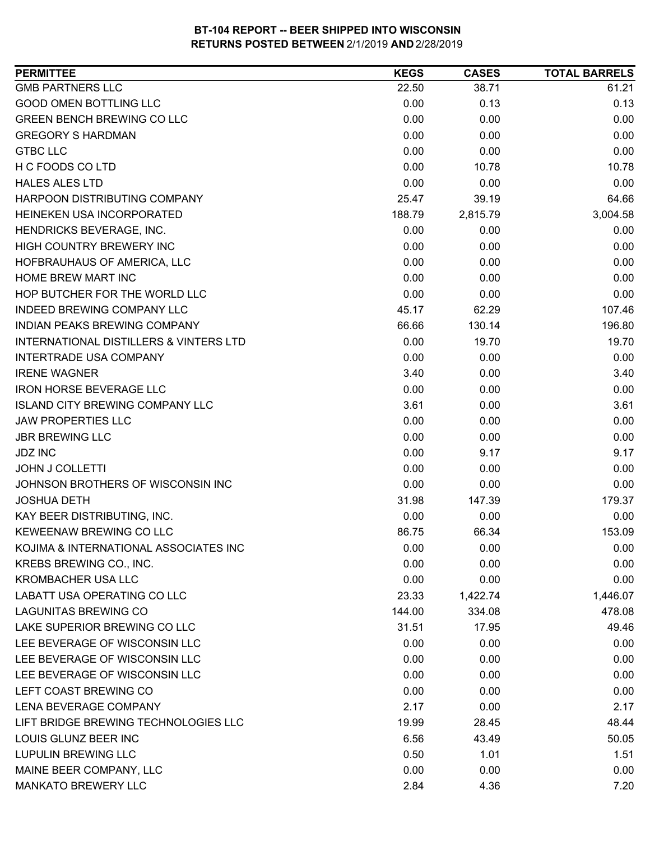| <b>PERMITTEE</b>                                  | <b>KEGS</b> | <b>CASES</b> | <b>TOTAL BARRELS</b> |
|---------------------------------------------------|-------------|--------------|----------------------|
| <b>GMB PARTNERS LLC</b>                           | 22.50       | 38.71        | 61.21                |
| <b>GOOD OMEN BOTTLING LLC</b>                     | 0.00        | 0.13         | 0.13                 |
| <b>GREEN BENCH BREWING CO LLC</b>                 | 0.00        | 0.00         | 0.00                 |
| <b>GREGORY S HARDMAN</b>                          | 0.00        | 0.00         | 0.00                 |
| <b>GTBC LLC</b>                                   | 0.00        | 0.00         | 0.00                 |
| H C FOODS CO LTD                                  | 0.00        | 10.78        | 10.78                |
| <b>HALES ALES LTD</b>                             | 0.00        | 0.00         | 0.00                 |
| HARPOON DISTRIBUTING COMPANY                      | 25.47       | 39.19        | 64.66                |
| HEINEKEN USA INCORPORATED                         | 188.79      | 2,815.79     | 3,004.58             |
| HENDRICKS BEVERAGE, INC.                          | 0.00        | 0.00         | 0.00                 |
| HIGH COUNTRY BREWERY INC                          | 0.00        | 0.00         | 0.00                 |
| HOFBRAUHAUS OF AMERICA, LLC                       | 0.00        | 0.00         | 0.00                 |
| <b>HOME BREW MART INC</b>                         | 0.00        | 0.00         | 0.00                 |
| HOP BUTCHER FOR THE WORLD LLC                     | 0.00        | 0.00         | 0.00                 |
| <b>INDEED BREWING COMPANY LLC</b>                 | 45.17       | 62.29        | 107.46               |
| INDIAN PEAKS BREWING COMPANY                      | 66.66       | 130.14       | 196.80               |
| <b>INTERNATIONAL DISTILLERS &amp; VINTERS LTD</b> | 0.00        | 19.70        | 19.70                |
| INTERTRADE USA COMPANY                            | 0.00        | 0.00         | 0.00                 |
| <b>IRENE WAGNER</b>                               | 3.40        | 0.00         | 3.40                 |
| <b>IRON HORSE BEVERAGE LLC</b>                    | 0.00        | 0.00         | 0.00                 |
| <b>ISLAND CITY BREWING COMPANY LLC</b>            | 3.61        | 0.00         | 3.61                 |
| <b>JAW PROPERTIES LLC</b>                         | 0.00        | 0.00         | 0.00                 |
| <b>JBR BREWING LLC</b>                            | 0.00        | 0.00         | 0.00                 |
| <b>JDZ INC</b>                                    | 0.00        | 9.17         | 9.17                 |
| <b>JOHN J COLLETTI</b>                            | 0.00        | 0.00         | 0.00                 |
| JOHNSON BROTHERS OF WISCONSIN INC                 | 0.00        | 0.00         | 0.00                 |
| <b>JOSHUA DETH</b>                                | 31.98       | 147.39       | 179.37               |
| KAY BEER DISTRIBUTING, INC.                       | 0.00        | 0.00         | 0.00                 |
| KEWEENAW BREWING CO LLC                           | 86.75       | 66.34        | 153.09               |
| KOJIMA & INTERNATIONAL ASSOCIATES INC             | 0.00        | 0.00         | 0.00                 |
| KREBS BREWING CO., INC.                           | 0.00        | 0.00         | 0.00                 |
| <b>KROMBACHER USA LLC</b>                         | 0.00        | 0.00         | 0.00                 |
| LABATT USA OPERATING CO LLC                       | 23.33       | 1,422.74     | 1,446.07             |
| <b>LAGUNITAS BREWING CO</b>                       | 144.00      | 334.08       | 478.08               |
| LAKE SUPERIOR BREWING CO LLC                      | 31.51       | 17.95        | 49.46                |
| LEE BEVERAGE OF WISCONSIN LLC                     | 0.00        | 0.00         | 0.00                 |
| LEE BEVERAGE OF WISCONSIN LLC                     | 0.00        | 0.00         | 0.00                 |
| LEE BEVERAGE OF WISCONSIN LLC                     | 0.00        | 0.00         | 0.00                 |
| LEFT COAST BREWING CO                             | 0.00        | 0.00         | 0.00                 |
| LENA BEVERAGE COMPANY                             | 2.17        | 0.00         | 2.17                 |
| LIFT BRIDGE BREWING TECHNOLOGIES LLC              | 19.99       | 28.45        | 48.44                |
| LOUIS GLUNZ BEER INC                              | 6.56        | 43.49        | 50.05                |
| <b>LUPULIN BREWING LLC</b>                        | 0.50        | 1.01         | 1.51                 |
| MAINE BEER COMPANY, LLC                           | 0.00        | 0.00         | 0.00                 |
| <b>MANKATO BREWERY LLC</b>                        | 2.84        | 4.36         | 7.20                 |
|                                                   |             |              |                      |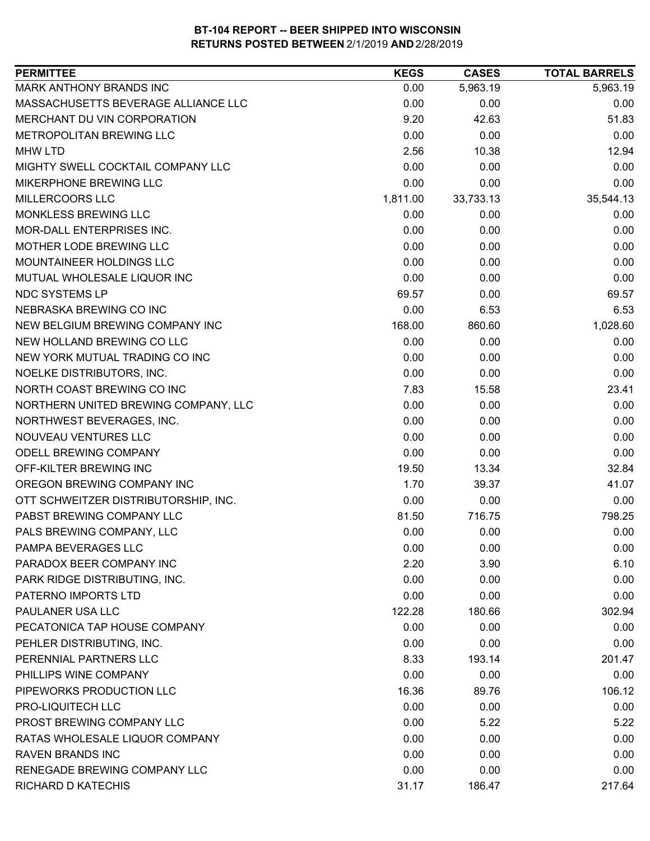| <b>PERMITTEE</b>                     | <b>KEGS</b> | <b>CASES</b> | <b>TOTAL BARRELS</b> |
|--------------------------------------|-------------|--------------|----------------------|
| MARK ANTHONY BRANDS INC              | 0.00        | 5,963.19     | 5,963.19             |
| MASSACHUSETTS BEVERAGE ALLIANCE LLC  | 0.00        | 0.00         | 0.00                 |
| MERCHANT DU VIN CORPORATION          | 9.20        | 42.63        | 51.83                |
| METROPOLITAN BREWING LLC             | 0.00        | 0.00         | 0.00                 |
| <b>MHW LTD</b>                       | 2.56        | 10.38        | 12.94                |
| MIGHTY SWELL COCKTAIL COMPANY LLC    | 0.00        | 0.00         | 0.00                 |
| MIKERPHONE BREWING LLC               | 0.00        | 0.00         | 0.00                 |
| MILLERCOORS LLC                      | 1,811.00    | 33,733.13    | 35,544.13            |
| MONKLESS BREWING LLC                 | 0.00        | 0.00         | 0.00                 |
| MOR-DALL ENTERPRISES INC.            | 0.00        | 0.00         | 0.00                 |
| MOTHER LODE BREWING LLC              | 0.00        | 0.00         | 0.00                 |
| MOUNTAINEER HOLDINGS LLC             | 0.00        | 0.00         | 0.00                 |
| MUTUAL WHOLESALE LIQUOR INC          | 0.00        | 0.00         | 0.00                 |
| NDC SYSTEMS LP                       | 69.57       | 0.00         | 69.57                |
| NEBRASKA BREWING CO INC              | 0.00        | 6.53         | 6.53                 |
| NEW BELGIUM BREWING COMPANY INC      | 168.00      | 860.60       | 1,028.60             |
| NEW HOLLAND BREWING CO LLC           | 0.00        | 0.00         | 0.00                 |
| NEW YORK MUTUAL TRADING CO INC       | 0.00        | 0.00         | 0.00                 |
| NOELKE DISTRIBUTORS, INC.            | 0.00        | 0.00         | 0.00                 |
| NORTH COAST BREWING CO INC           | 7.83        | 15.58        | 23.41                |
| NORTHERN UNITED BREWING COMPANY, LLC | 0.00        | 0.00         | 0.00                 |
| NORTHWEST BEVERAGES, INC.            | 0.00        | 0.00         | 0.00                 |
| NOUVEAU VENTURES LLC                 | 0.00        | 0.00         | 0.00                 |
| ODELL BREWING COMPANY                | 0.00        | 0.00         | 0.00                 |
| OFF-KILTER BREWING INC               | 19.50       | 13.34        | 32.84                |
| OREGON BREWING COMPANY INC           | 1.70        | 39.37        | 41.07                |
| OTT SCHWEITZER DISTRIBUTORSHIP, INC. | 0.00        | 0.00         | 0.00                 |
| PABST BREWING COMPANY LLC            | 81.50       | 716.75       | 798.25               |
| PALS BREWING COMPANY, LLC            | 0.00        | 0.00         | 0.00                 |
| PAMPA BEVERAGES LLC                  | 0.00        | 0.00         | 0.00                 |
| PARADOX BEER COMPANY INC             | 2.20        | 3.90         | 6.10                 |
| PARK RIDGE DISTRIBUTING, INC.        | 0.00        | 0.00         | 0.00                 |
| PATERNO IMPORTS LTD                  | 0.00        | 0.00         | 0.00                 |
| PAULANER USA LLC                     | 122.28      | 180.66       | 302.94               |
| PECATONICA TAP HOUSE COMPANY         | 0.00        | 0.00         | 0.00                 |
| PEHLER DISTRIBUTING, INC.            | 0.00        | 0.00         | 0.00                 |
| PERENNIAL PARTNERS LLC               | 8.33        | 193.14       | 201.47               |
| PHILLIPS WINE COMPANY                | 0.00        | 0.00         | 0.00                 |
| PIPEWORKS PRODUCTION LLC             | 16.36       | 89.76        | 106.12               |
| PRO-LIQUITECH LLC                    | 0.00        | 0.00         | 0.00                 |
| PROST BREWING COMPANY LLC            | 0.00        | 5.22         | 5.22                 |
| RATAS WHOLESALE LIQUOR COMPANY       | 0.00        | 0.00         | 0.00                 |
| <b>RAVEN BRANDS INC</b>              | 0.00        | 0.00         | 0.00                 |
| RENEGADE BREWING COMPANY LLC         | 0.00        | 0.00         | 0.00                 |
| RICHARD D KATECHIS                   | 31.17       | 186.47       | 217.64               |
|                                      |             |              |                      |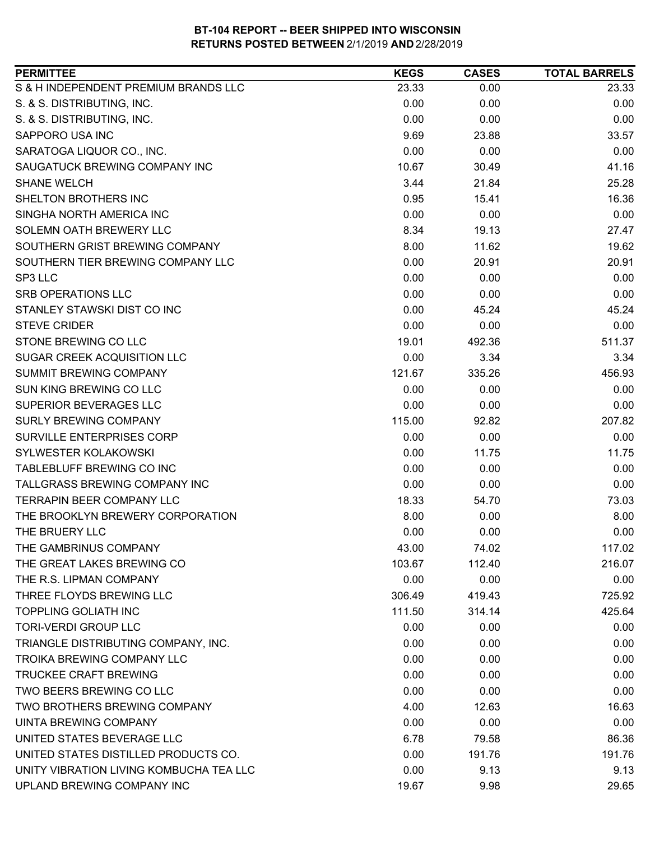| <b>PERMITTEE</b>                        | <b>KEGS</b> | <b>CASES</b> | <b>TOTAL BARRELS</b> |
|-----------------------------------------|-------------|--------------|----------------------|
| S & H INDEPENDENT PREMIUM BRANDS LLC    | 23.33       | 0.00         | 23.33                |
| S. & S. DISTRIBUTING, INC.              | 0.00        | 0.00         | 0.00                 |
| S. & S. DISTRIBUTING, INC.              | 0.00        | 0.00         | 0.00                 |
| SAPPORO USA INC                         | 9.69        | 23.88        | 33.57                |
| SARATOGA LIQUOR CO., INC.               | 0.00        | 0.00         | 0.00                 |
| SAUGATUCK BREWING COMPANY INC           | 10.67       | 30.49        | 41.16                |
| <b>SHANE WELCH</b>                      | 3.44        | 21.84        | 25.28                |
| SHELTON BROTHERS INC                    | 0.95        | 15.41        | 16.36                |
| SINGHA NORTH AMERICA INC                | 0.00        | 0.00         | 0.00                 |
| SOLEMN OATH BREWERY LLC                 | 8.34        | 19.13        | 27.47                |
| SOUTHERN GRIST BREWING COMPANY          | 8.00        | 11.62        | 19.62                |
| SOUTHERN TIER BREWING COMPANY LLC       | 0.00        | 20.91        | 20.91                |
| SP3 LLC                                 | 0.00        | 0.00         | 0.00                 |
| <b>SRB OPERATIONS LLC</b>               | 0.00        | 0.00         | 0.00                 |
| STANLEY STAWSKI DIST CO INC             | 0.00        | 45.24        | 45.24                |
| <b>STEVE CRIDER</b>                     | 0.00        | 0.00         | 0.00                 |
| STONE BREWING CO LLC                    | 19.01       | 492.36       | 511.37               |
| SUGAR CREEK ACQUISITION LLC             | 0.00        | 3.34         | 3.34                 |
| <b>SUMMIT BREWING COMPANY</b>           | 121.67      | 335.26       | 456.93               |
| SUN KING BREWING CO LLC                 | 0.00        | 0.00         | 0.00                 |
| SUPERIOR BEVERAGES LLC                  | 0.00        | 0.00         | 0.00                 |
| <b>SURLY BREWING COMPANY</b>            | 115.00      | 92.82        | 207.82               |
| SURVILLE ENTERPRISES CORP               | 0.00        | 0.00         | 0.00                 |
| SYLWESTER KOLAKOWSKI                    | 0.00        | 11.75        | 11.75                |
| TABLEBLUFF BREWING CO INC               | 0.00        | 0.00         | 0.00                 |
| TALLGRASS BREWING COMPANY INC           | 0.00        | 0.00         | 0.00                 |
| <b>TERRAPIN BEER COMPANY LLC</b>        | 18.33       | 54.70        | 73.03                |
| THE BROOKLYN BREWERY CORPORATION        | 8.00        | 0.00         | 8.00                 |
| THE BRUERY LLC                          | 0.00        | 0.00         | 0.00                 |
| THE GAMBRINUS COMPANY                   | 43.00       | 74.02        | 117.02               |
| THE GREAT LAKES BREWING CO              | 103.67      | 112.40       | 216.07               |
| THE R.S. LIPMAN COMPANY                 | 0.00        | 0.00         | 0.00                 |
| THREE FLOYDS BREWING LLC                | 306.49      | 419.43       | 725.92               |
| <b>TOPPLING GOLIATH INC</b>             | 111.50      | 314.14       | 425.64               |
| <b>TORI-VERDI GROUP LLC</b>             | 0.00        | 0.00         | 0.00                 |
| TRIANGLE DISTRIBUTING COMPANY, INC.     | 0.00        | 0.00         | 0.00                 |
| TROIKA BREWING COMPANY LLC              | 0.00        | 0.00         | 0.00                 |
| <b>TRUCKEE CRAFT BREWING</b>            | 0.00        | 0.00         | 0.00                 |
| TWO BEERS BREWING CO LLC                | 0.00        | 0.00         | 0.00                 |
| TWO BROTHERS BREWING COMPANY            | 4.00        | 12.63        | 16.63                |
| <b>UINTA BREWING COMPANY</b>            | 0.00        | 0.00         | 0.00                 |
| UNITED STATES BEVERAGE LLC              | 6.78        | 79.58        | 86.36                |
| UNITED STATES DISTILLED PRODUCTS CO.    | 0.00        | 191.76       | 191.76               |
| UNITY VIBRATION LIVING KOMBUCHA TEA LLC | 0.00        | 9.13         | 9.13                 |
| UPLAND BREWING COMPANY INC              | 19.67       | 9.98         | 29.65                |